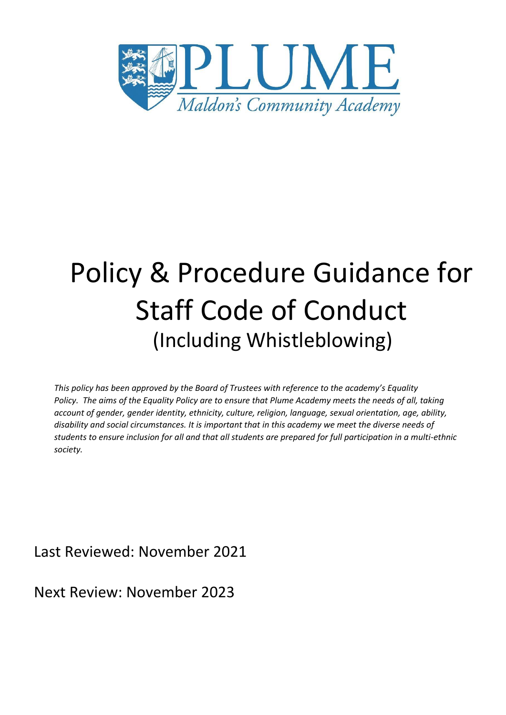

# Policy & Procedure Guidance for Staff Code of Conduct (Including Whistleblowing)

*This policy has been approved by the Board of Trustees with reference to the academy's Equality Policy. The aims of the Equality Policy are to ensure that Plume Academy meets the needs of all, taking account of gender, gender identity, ethnicity, culture, religion, language, sexual orientation, age, ability, disability and social circumstances. It is important that in this academy we meet the diverse needs of students to ensure inclusion for all and that all students are prepared for full participation in a multi-ethnic society.*

Last Reviewed: November 2021

Next Review: November 2023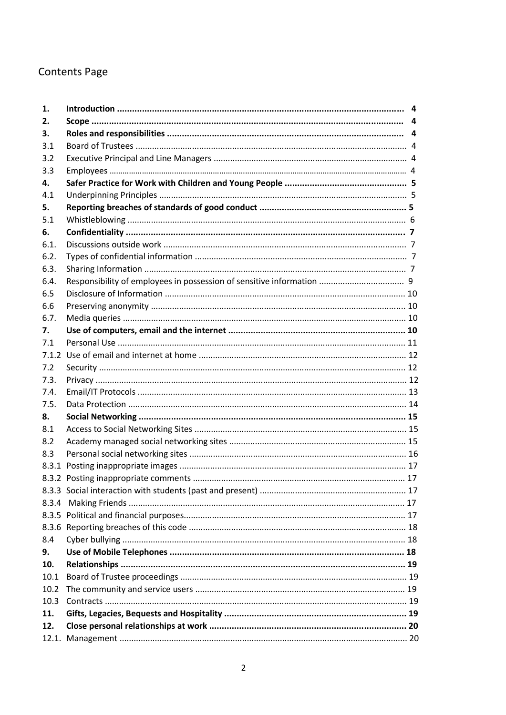# **Contents Page**

| 1.    |  |
|-------|--|
| 2.    |  |
| З.    |  |
| 3.1   |  |
| 3.2   |  |
| 3.3   |  |
| 4.    |  |
| 4.1   |  |
| 5.    |  |
| 5.1   |  |
| 6.    |  |
| 6.1.  |  |
| 6.2.  |  |
| 6.3.  |  |
| 6.4.  |  |
| 6.5   |  |
| 6.6   |  |
| 6.7.  |  |
| 7.    |  |
| 7.1   |  |
| 7.1.2 |  |
| 7.2   |  |
| 7.3.  |  |
| 7.4.  |  |
| 7.5.  |  |
| 8.    |  |
| 8.1   |  |
| 8.2   |  |
| 8.3   |  |
|       |  |
|       |  |
|       |  |
| 8.3.4 |  |
|       |  |
|       |  |
| 8.4   |  |
| 9.    |  |
| 10.   |  |
| 10.1  |  |
| 10.2  |  |
| 10.3  |  |
| 11.   |  |
| 12.   |  |
|       |  |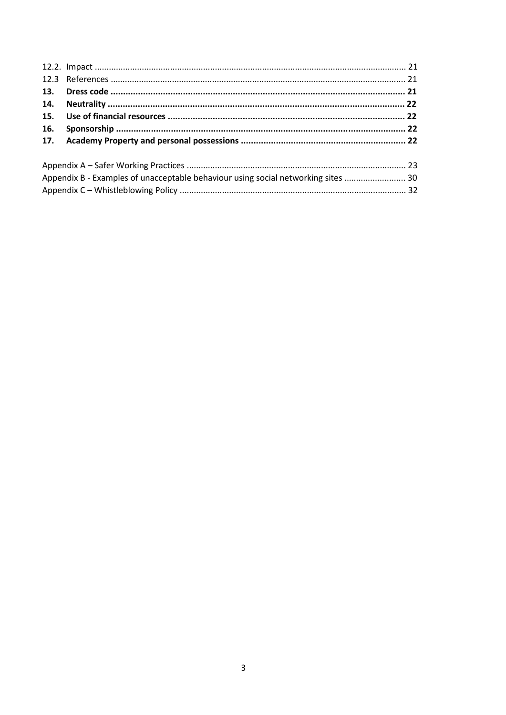| 16. |                                                                                   |  |  |
|-----|-----------------------------------------------------------------------------------|--|--|
|     |                                                                                   |  |  |
|     |                                                                                   |  |  |
|     | Appendix B - Examples of unacceptable behaviour using social networking sites  30 |  |  |
|     |                                                                                   |  |  |
|     |                                                                                   |  |  |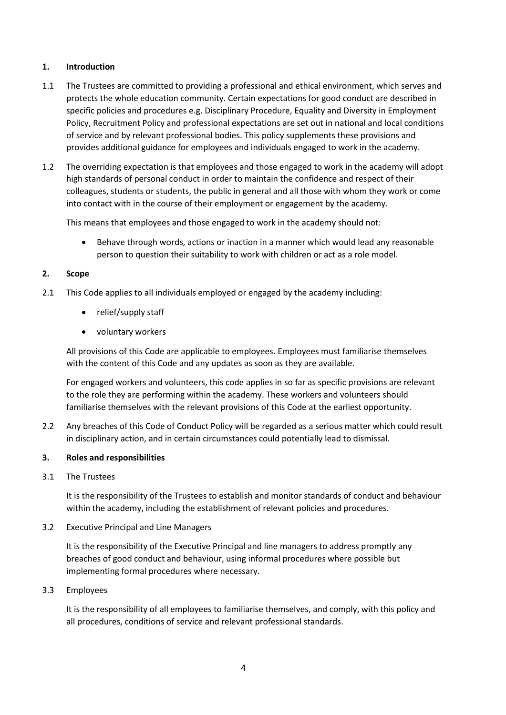### **1. Introduction**

- 1.1 The Trustees are committed to providing a professional and ethical environment, which serves and protects the whole education community. Certain expectations for good conduct are described in specific policies and procedures e.g. Disciplinary Procedure, Equality and Diversity in Employment Policy, Recruitment Policy and professional expectations are set out in national and local conditions of service and by relevant professional bodies. This policy supplements these provisions and provides additional guidance for employees and individuals engaged to work in the academy.
- 1.2 The overriding expectation is that employees and those engaged to work in the academy will adopt high standards of personal conduct in order to maintain the confidence and respect of their colleagues, students or students, the public in general and all those with whom they work or come into contact with in the course of their employment or engagement by the academy.

This means that employees and those engaged to work in the academy should not:

 Behave through words, actions or inaction in a manner which would lead any reasonable person to question their suitability to work with children or act as a role model.

### **2. Scope**

- 2.1 This Code applies to all individuals employed or engaged by the academy including:
	- relief/supply staff
	- voluntary workers

All provisions of this Code are applicable to employees. Employees must familiarise themselves with the content of this Code and any updates as soon as they are available.

For engaged workers and volunteers, this code applies in so far as specific provisions are relevant to the role they are performing within the academy. These workers and volunteers should familiarise themselves with the relevant provisions of this Code at the earliest opportunity.

2.2 Any breaches of this Code of Conduct Policy will be regarded as a serious matter which could result in disciplinary action, and in certain circumstances could potentially lead to dismissal.

### **3. Roles and responsibilities**

3.1 The Trustees

It is the responsibility of the Trustees to establish and monitor standards of conduct and behaviour within the academy, including the establishment of relevant policies and procedures.

3.2 Executive Principal and Line Managers

It is the responsibility of the Executive Principal and line managers to address promptly any breaches of good conduct and behaviour, using informal procedures where possible but implementing formal procedures where necessary.

3.3 Employees

It is the responsibility of all employees to familiarise themselves, and comply, with this policy and all procedures, conditions of service and relevant professional standards.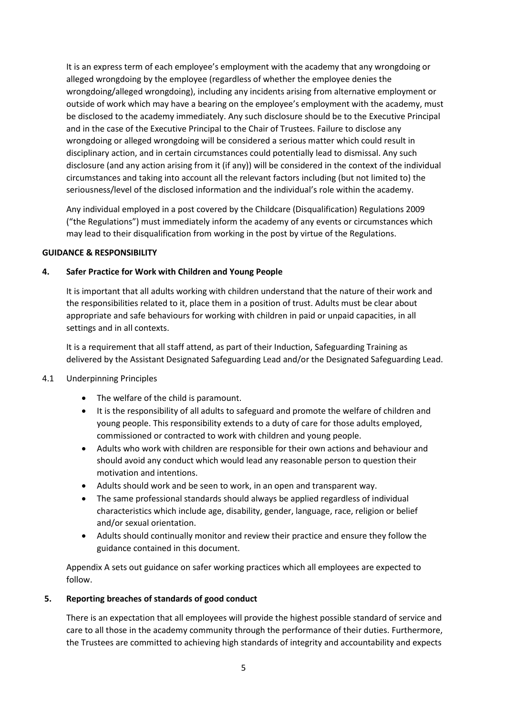It is an express term of each employee's employment with the academy that any wrongdoing or alleged wrongdoing by the employee (regardless of whether the employee denies the wrongdoing/alleged wrongdoing), including any incidents arising from alternative employment or outside of work which may have a bearing on the employee's employment with the academy, must be disclosed to the academy immediately. Any such disclosure should be to the Executive Principal and in the case of the Executive Principal to the Chair of Trustees. Failure to disclose any wrongdoing or alleged wrongdoing will be considered a serious matter which could result in disciplinary action, and in certain circumstances could potentially lead to dismissal. Any such disclosure (and any action arising from it (if any)) will be considered in the context of the individual circumstances and taking into account all the relevant factors including (but not limited to) the seriousness/level of the disclosed information and the individual's role within the academy.

Any individual employed in a post covered by the Childcare (Disqualification) Regulations 2009 ("the Regulations") must immediately inform the academy of any events or circumstances which may lead to their disqualification from working in the post by virtue of the Regulations.

### **GUIDANCE & RESPONSIBILITY**

### **4. Safer Practice for Work with Children and Young People**

It is important that all adults working with children understand that the nature of their work and the responsibilities related to it, place them in a position of trust. Adults must be clear about appropriate and safe behaviours for working with children in paid or unpaid capacities, in all settings and in all contexts.

It is a requirement that all staff attend, as part of their Induction, Safeguarding Training as delivered by the Assistant Designated Safeguarding Lead and/or the Designated Safeguarding Lead.

### 4.1 Underpinning Principles

- The welfare of the child is paramount.
- It is the responsibility of all adults to safeguard and promote the welfare of children and young people. This responsibility extends to a duty of care for those adults employed, commissioned or contracted to work with children and young people.
- Adults who work with children are responsible for their own actions and behaviour and should avoid any conduct which would lead any reasonable person to question their motivation and intentions.
- Adults should work and be seen to work, in an open and transparent way.
- The same professional standards should always be applied regardless of individual characteristics which include age, disability, gender, language, race, religion or belief and/or sexual orientation.
- Adults should continually monitor and review their practice and ensure they follow the guidance contained in this document.

Appendix A sets out guidance on safer working practices which all employees are expected to follow.

### **5. Reporting breaches of standards of good conduct**

There is an expectation that all employees will provide the highest possible standard of service and care to all those in the academy community through the performance of their duties. Furthermore, the Trustees are committed to achieving high standards of integrity and accountability and expects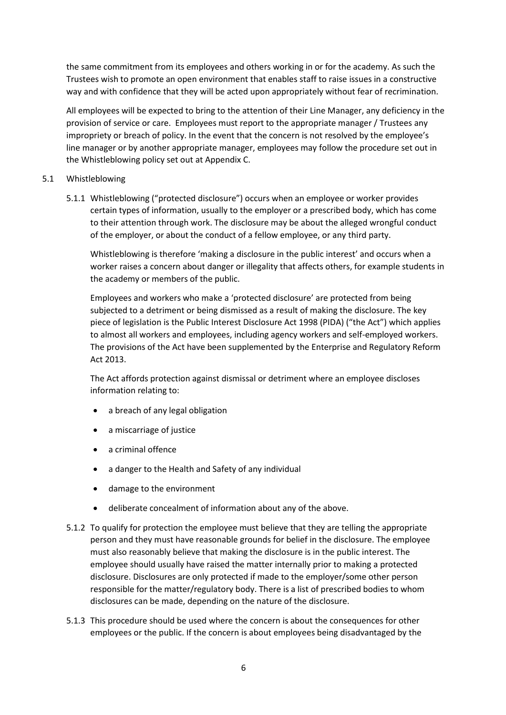the same commitment from its employees and others working in or for the academy. As such the Trustees wish to promote an open environment that enables staff to raise issues in a constructive way and with confidence that they will be acted upon appropriately without fear of recrimination.

All employees will be expected to bring to the attention of their Line Manager, any deficiency in the provision of service or care. Employees must report to the appropriate manager / Trustees any impropriety or breach of policy. In the event that the concern is not resolved by the employee's line manager or by another appropriate manager, employees may follow the procedure set out in the Whistleblowing policy set out at Appendix C.

### 5.1 Whistleblowing

5.1.1 Whistleblowing ("protected disclosure") occurs when an employee or worker provides certain types of information, usually to the employer or a prescribed body, which has come to their attention through work. The disclosure may be about the alleged wrongful conduct of the employer, or about the conduct of a fellow employee, or any third party.

Whistleblowing is therefore 'making a disclosure in the public interest' and occurs when a worker raises a concern about danger or illegality that affects others, for example students in the academy or members of the public.

Employees and workers who make a 'protected disclosure' are protected from being subjected to a detriment or being dismissed as a result of making the disclosure. The key piece of legislation is the Public Interest Disclosure Act 1998 (PIDA) ("the Act") which applies to almost all workers and employees, including agency workers and self-employed workers. The provisions of the Act have been supplemented by the Enterprise and Regulatory Reform Act 2013.

The Act affords protection against dismissal or detriment where an employee discloses information relating to:

- a breach of any legal obligation
- a miscarriage of justice
- a criminal offence
- a danger to the Health and Safety of any individual
- damage to the environment
- deliberate concealment of information about any of the above.
- 5.1.2 To qualify for protection the employee must believe that they are telling the appropriate person and they must have reasonable grounds for belief in the disclosure. The employee must also reasonably believe that making the disclosure is in the public interest. The employee should usually have raised the matter internally prior to making a protected disclosure. Disclosures are only protected if made to the employer/some other person responsible for the matter/regulatory body. There is a list of prescribed bodies to whom disclosures can be made, depending on the nature of the disclosure.
- 5.1.3 This procedure should be used where the concern is about the consequences for other employees or the public. If the concern is about employees being disadvantaged by the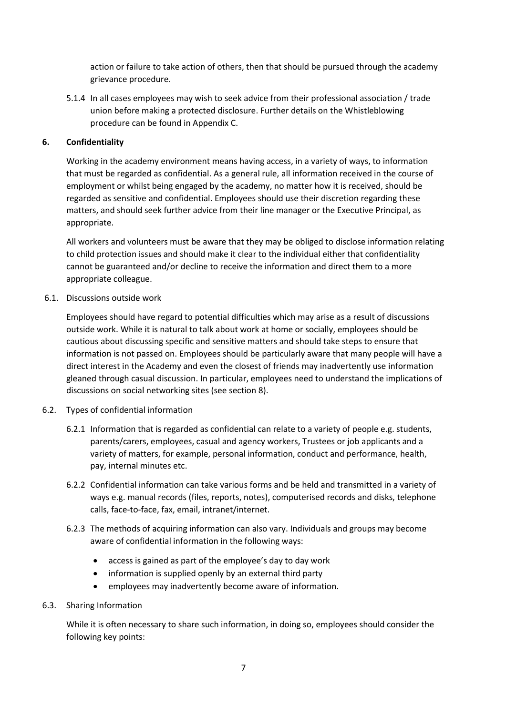action or failure to take action of others, then that should be pursued through the academy grievance procedure.

5.1.4 In all cases employees may wish to seek advice from their professional association / trade union before making a protected disclosure. Further details on the Whistleblowing procedure can be found in Appendix C.

# **6. Confidentiality**

Working in the academy environment means having access, in a variety of ways, to information that must be regarded as confidential. As a general rule, all information received in the course of employment or whilst being engaged by the academy, no matter how it is received, should be regarded as sensitive and confidential. Employees should use their discretion regarding these matters, and should seek further advice from their line manager or the Executive Principal, as appropriate.

All workers and volunteers must be aware that they may be obliged to disclose information relating to child protection issues and should make it clear to the individual either that confidentiality cannot be guaranteed and/or decline to receive the information and direct them to a more appropriate colleague.

6.1. Discussions outside work

Employees should have regard to potential difficulties which may arise as a result of discussions outside work. While it is natural to talk about work at home or socially, employees should be cautious about discussing specific and sensitive matters and should take steps to ensure that information is not passed on. Employees should be particularly aware that many people will have a direct interest in the Academy and even the closest of friends may inadvertently use information gleaned through casual discussion. In particular, employees need to understand the implications of discussions on social networking sites (see section 8).

- 6.2. Types of confidential information
	- 6.2.1 Information that is regarded as confidential can relate to a variety of people e.g. students, parents/carers, employees, casual and agency workers, Trustees or job applicants and a variety of matters, for example, personal information, conduct and performance, health, pay, internal minutes etc.
	- 6.2.2 Confidential information can take various forms and be held and transmitted in a variety of ways e.g. manual records (files, reports, notes), computerised records and disks, telephone calls, face-to-face, fax, email, intranet/internet.
	- 6.2.3 The methods of acquiring information can also vary. Individuals and groups may become aware of confidential information in the following ways:
		- access is gained as part of the employee's day to day work
		- information is supplied openly by an external third party
		- employees may inadvertently become aware of information.

# 6.3. Sharing Information

While it is often necessary to share such information, in doing so, employees should consider the following key points: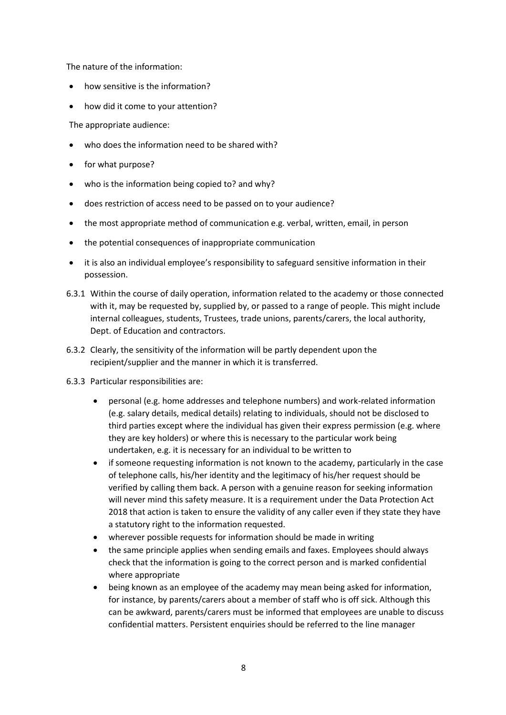The nature of the information:

- how sensitive is the information?
- how did it come to your attention?

The appropriate audience:

- who does the information need to be shared with?
- for what purpose?
- who is the information being copied to? and why?
- does restriction of access need to be passed on to your audience?
- the most appropriate method of communication e.g. verbal, written, email, in person
- the potential consequences of inappropriate communication
- it is also an individual employee's responsibility to safeguard sensitive information in their possession.
- 6.3.1 Within the course of daily operation, information related to the academy or those connected with it, may be requested by, supplied by, or passed to a range of people. This might include internal colleagues, students, Trustees, trade unions, parents/carers, the local authority, Dept. of Education and contractors.
- 6.3.2 Clearly, the sensitivity of the information will be partly dependent upon the recipient/supplier and the manner in which it is transferred.
- 6.3.3 Particular responsibilities are:
	- personal (e.g. home addresses and telephone numbers) and work-related information (e.g. salary details, medical details) relating to individuals, should not be disclosed to third parties except where the individual has given their express permission (e.g. where they are key holders) or where this is necessary to the particular work being undertaken, e.g. it is necessary for an individual to be written to
	- if someone requesting information is not known to the academy, particularly in the case of telephone calls, his/her identity and the legitimacy of his/her request should be verified by calling them back. A person with a genuine reason for seeking information will never mind this safety measure. It is a requirement under the Data Protection Act 2018 that action is taken to ensure the validity of any caller even if they state they have a statutory right to the information requested.
	- wherever possible requests for information should be made in writing
	- the same principle applies when sending emails and faxes. Employees should always check that the information is going to the correct person and is marked confidential where appropriate
	- being known as an employee of the academy may mean being asked for information, for instance, by parents/carers about a member of staff who is off sick. Although this can be awkward, parents/carers must be informed that employees are unable to discuss confidential matters. Persistent enquiries should be referred to the line manager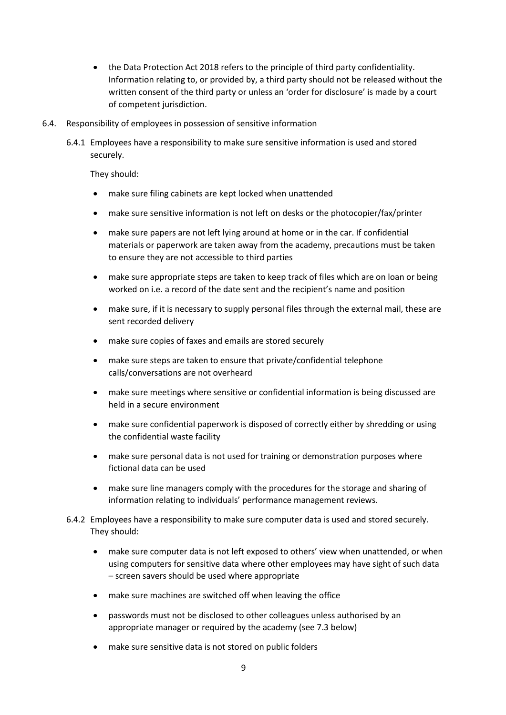- the Data Protection Act 2018 refers to the principle of third party confidentiality. Information relating to, or provided by, a third party should not be released without the written consent of the third party or unless an 'order for disclosure' is made by a court of competent jurisdiction.
- 6.4. Responsibility of employees in possession of sensitive information
	- 6.4.1 Employees have a responsibility to make sure sensitive information is used and stored securely.

They should:

- make sure filing cabinets are kept locked when unattended
- make sure sensitive information is not left on desks or the photocopier/fax/printer
- make sure papers are not left lying around at home or in the car. If confidential materials or paperwork are taken away from the academy, precautions must be taken to ensure they are not accessible to third parties
- make sure appropriate steps are taken to keep track of files which are on loan or being worked on i.e. a record of the date sent and the recipient's name and position
- make sure, if it is necessary to supply personal files through the external mail, these are sent recorded delivery
- make sure copies of faxes and emails are stored securely
- make sure steps are taken to ensure that private/confidential telephone calls/conversations are not overheard
- make sure meetings where sensitive or confidential information is being discussed are held in a secure environment
- make sure confidential paperwork is disposed of correctly either by shredding or using the confidential waste facility
- make sure personal data is not used for training or demonstration purposes where fictional data can be used
- make sure line managers comply with the procedures for the storage and sharing of information relating to individuals' performance management reviews.
- 6.4.2 Employees have a responsibility to make sure computer data is used and stored securely. They should:
	- make sure computer data is not left exposed to others' view when unattended, or when using computers for sensitive data where other employees may have sight of such data – screen savers should be used where appropriate
	- make sure machines are switched off when leaving the office
	- passwords must not be disclosed to other colleagues unless authorised by an appropriate manager or required by the academy (see 7.3 below)
	- make sure sensitive data is not stored on public folders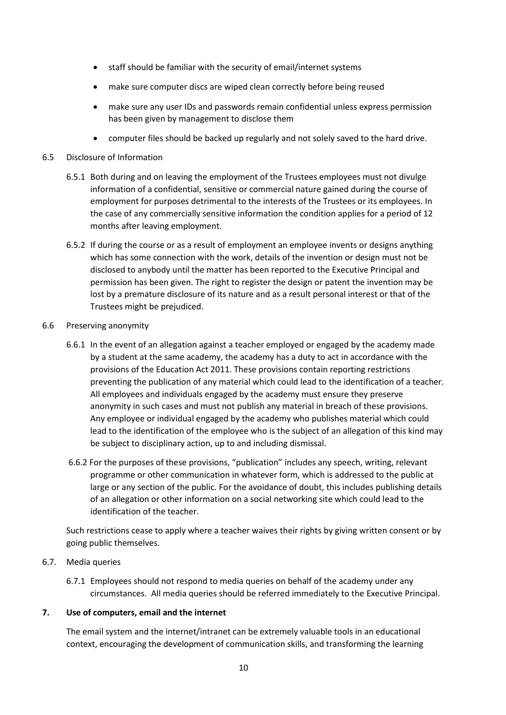- staff should be familiar with the security of email/internet systems
- make sure computer discs are wiped clean correctly before being reused
- make sure any user IDs and passwords remain confidential unless express permission has been given by management to disclose them
- computer files should be backed up regularly and not solely saved to the hard drive.

### 6.5 Disclosure of Information

- 6.5.1 Both during and on leaving the employment of the Trustees employees must not divulge information of a confidential, sensitive or commercial nature gained during the course of employment for purposes detrimental to the interests of the Trustees or its employees. In the case of any commercially sensitive information the condition applies for a period of 12 months after leaving employment.
- 6.5.2 If during the course or as a result of employment an employee invents or designs anything which has some connection with the work, details of the invention or design must not be disclosed to anybody until the matter has been reported to the Executive Principal and permission has been given. The right to register the design or patent the invention may be lost by a premature disclosure of its nature and as a result personal interest or that of the Trustees might be prejudiced.

### 6.6 Preserving anonymity

- 6.6.1 In the event of an allegation against a teacher employed or engaged by the academy made by a student at the same academy, the academy has a duty to act in accordance with the provisions of the Education Act 2011. These provisions contain reporting restrictions preventing the publication of any material which could lead to the identification of a teacher. All employees and individuals engaged by the academy must ensure they preserve anonymity in such cases and must not publish any material in breach of these provisions. Any employee or individual engaged by the academy who publishes material which could lead to the identification of the employee who is the subject of an allegation of this kind may be subject to disciplinary action, up to and including dismissal.
- 6.6.2 For the purposes of these provisions, "publication" includes any speech, writing, relevant programme or other communication in whatever form, which is addressed to the public at large or any section of the public. For the avoidance of doubt, this includes publishing details of an allegation or other information on a social networking site which could lead to the identification of the teacher.

Such restrictions cease to apply where a teacher waives their rights by giving written consent or by going public themselves.

### 6.7. Media queries

6.7.1 Employees should not respond to media queries on behalf of the academy under any circumstances. All media queries should be referred immediately to the Executive Principal.

### **7. Use of computers, email and the internet**

The email system and the internet/intranet can be extremely valuable tools in an educational context, encouraging the development of communication skills, and transforming the learning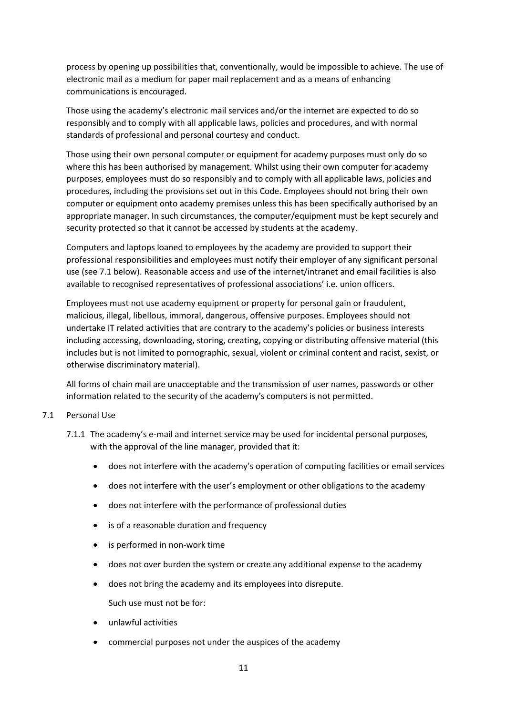process by opening up possibilities that, conventionally, would be impossible to achieve. The use of electronic mail as a medium for paper mail replacement and as a means of enhancing communications is encouraged.

Those using the academy's electronic mail services and/or the internet are expected to do so responsibly and to comply with all applicable laws, policies and procedures, and with normal standards of professional and personal courtesy and conduct.

Those using their own personal computer or equipment for academy purposes must only do so where this has been authorised by management. Whilst using their own computer for academy purposes, employees must do so responsibly and to comply with all applicable laws, policies and procedures, including the provisions set out in this Code. Employees should not bring their own computer or equipment onto academy premises unless this has been specifically authorised by an appropriate manager. In such circumstances, the computer/equipment must be kept securely and security protected so that it cannot be accessed by students at the academy.

Computers and laptops loaned to employees by the academy are provided to support their professional responsibilities and employees must notify their employer of any significant personal use (see 7.1 below). Reasonable access and use of the internet/intranet and email facilities is also available to recognised representatives of professional associations' i.e. union officers.

Employees must not use academy equipment or property for personal gain or fraudulent, malicious, illegal, libellous, immoral, dangerous, offensive purposes. Employees should not undertake IT related activities that are contrary to the academy's policies or business interests including accessing, downloading, storing, creating, copying or distributing offensive material (this includes but is not limited to pornographic, sexual, violent or criminal content and racist, sexist, or otherwise discriminatory material).

All forms of chain mail are unacceptable and the transmission of user names, passwords or other information related to the security of the academy's computers is not permitted.

### 7.1 Personal Use

- 7.1.1 The academy's e-mail and internet service may be used for incidental personal purposes, with the approval of the line manager, provided that it:
	- does not interfere with the academy's operation of computing facilities or email services
	- does not interfere with the user's employment or other obligations to the academy
	- does not interfere with the performance of professional duties
	- is of a reasonable duration and frequency
	- is performed in non-work time
	- does not over burden the system or create any additional expense to the academy
	- does not bring the academy and its employees into disrepute.

Such use must not be for:

- unlawful activities
- commercial purposes not under the auspices of the academy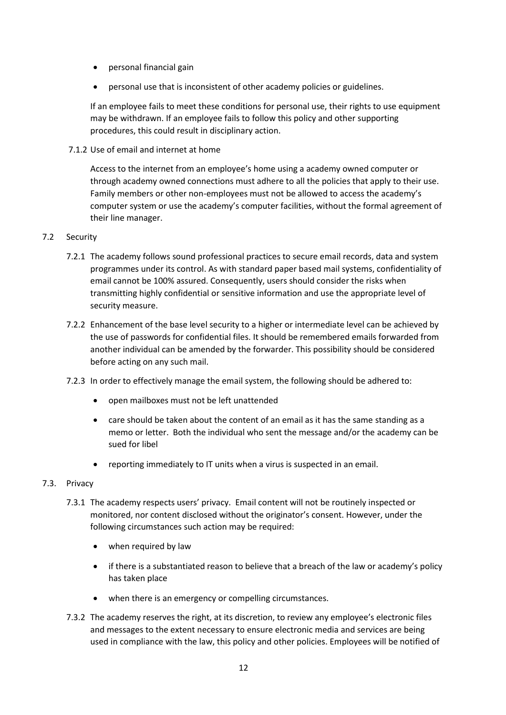- personal financial gain
- personal use that is inconsistent of other academy policies or guidelines.

If an employee fails to meet these conditions for personal use, their rights to use equipment may be withdrawn. If an employee fails to follow this policy and other supporting procedures, this could result in disciplinary action.

7.1.2 Use of email and internet at home

Access to the internet from an employee's home using a academy owned computer or through academy owned connections must adhere to all the policies that apply to their use. Family members or other non-employees must not be allowed to access the academy's computer system or use the academy's computer facilities, without the formal agreement of their line manager.

### 7.2 Security

- 7.2.1 The academy follows sound professional practices to secure email records, data and system programmes under its control. As with standard paper based mail systems, confidentiality of email cannot be 100% assured. Consequently, users should consider the risks when transmitting highly confidential or sensitive information and use the appropriate level of security measure.
- 7.2.2 Enhancement of the base level security to a higher or intermediate level can be achieved by the use of passwords for confidential files. It should be remembered emails forwarded from another individual can be amended by the forwarder. This possibility should be considered before acting on any such mail.
- 7.2.3 In order to effectively manage the email system, the following should be adhered to:
	- open mailboxes must not be left unattended
	- care should be taken about the content of an email as it has the same standing as a memo or letter. Both the individual who sent the message and/or the academy can be sued for libel
	- reporting immediately to IT units when a virus is suspected in an email.

### 7.3. Privacy

- 7.3.1 The academy respects users' privacy. Email content will not be routinely inspected or monitored, nor content disclosed without the originator's consent. However, under the following circumstances such action may be required:
	- when required by law
	- if there is a substantiated reason to believe that a breach of the law or academy's policy has taken place
	- when there is an emergency or compelling circumstances.
- 7.3.2 The academy reserves the right, at its discretion, to review any employee's electronic files and messages to the extent necessary to ensure electronic media and services are being used in compliance with the law, this policy and other policies. Employees will be notified of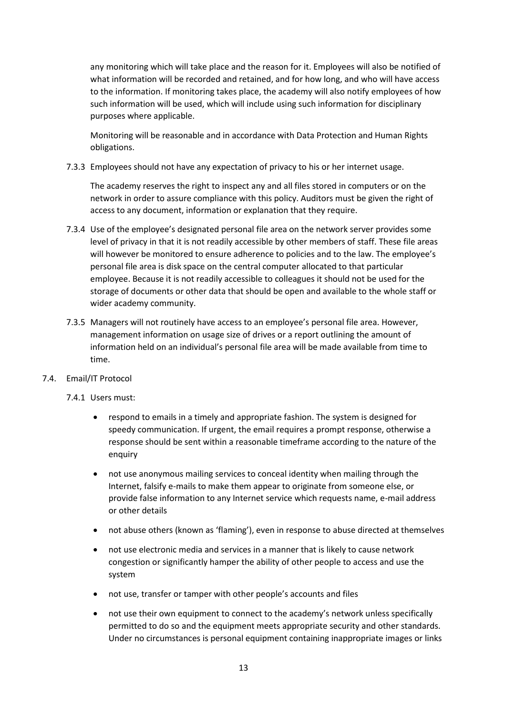any monitoring which will take place and the reason for it. Employees will also be notified of what information will be recorded and retained, and for how long, and who will have access to the information. If monitoring takes place, the academy will also notify employees of how such information will be used, which will include using such information for disciplinary purposes where applicable.

Monitoring will be reasonable and in accordance with Data Protection and Human Rights obligations.

7.3.3 Employees should not have any expectation of privacy to his or her internet usage.

The academy reserves the right to inspect any and all files stored in computers or on the network in order to assure compliance with this policy. Auditors must be given the right of access to any document, information or explanation that they require.

- 7.3.4 Use of the employee's designated personal file area on the network server provides some level of privacy in that it is not readily accessible by other members of staff. These file areas will however be monitored to ensure adherence to policies and to the law. The employee's personal file area is disk space on the central computer allocated to that particular employee. Because it is not readily accessible to colleagues it should not be used for the storage of documents or other data that should be open and available to the whole staff or wider academy community.
- 7.3.5 Managers will not routinely have access to an employee's personal file area. However, management information on usage size of drives or a report outlining the amount of information held on an individual's personal file area will be made available from time to time.
- 7.4. Email/IT Protocol
	- 7.4.1 Users must:
		- respond to emails in a timely and appropriate fashion. The system is designed for speedy communication. If urgent, the email requires a prompt response, otherwise a response should be sent within a reasonable timeframe according to the nature of the enquiry
		- not use anonymous mailing services to conceal identity when mailing through the Internet, falsify e-mails to make them appear to originate from someone else, or provide false information to any Internet service which requests name, e-mail address or other details
		- not abuse others (known as 'flaming'), even in response to abuse directed at themselves
		- not use electronic media and services in a manner that is likely to cause network congestion or significantly hamper the ability of other people to access and use the system
		- not use, transfer or tamper with other people's accounts and files
		- not use their own equipment to connect to the academy's network unless specifically permitted to do so and the equipment meets appropriate security and other standards. Under no circumstances is personal equipment containing inappropriate images or links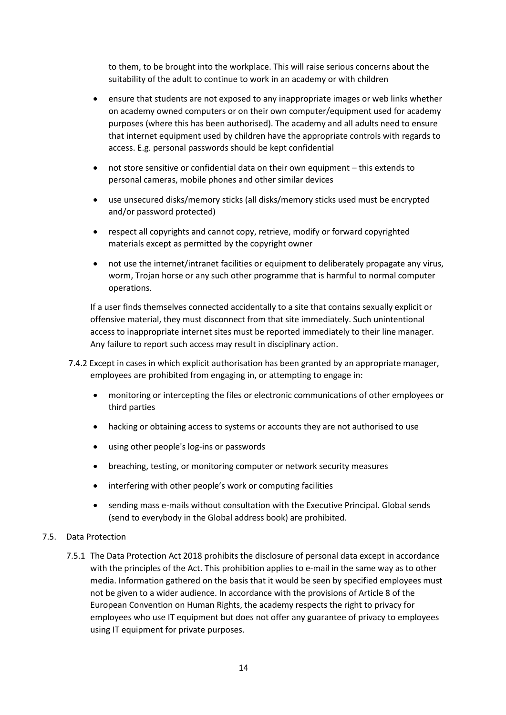to them, to be brought into the workplace. This will raise serious concerns about the suitability of the adult to continue to work in an academy or with children

- ensure that students are not exposed to any inappropriate images or web links whether on academy owned computers or on their own computer/equipment used for academy purposes (where this has been authorised). The academy and all adults need to ensure that internet equipment used by children have the appropriate controls with regards to access. E.g. personal passwords should be kept confidential
- not store sensitive or confidential data on their own equipment this extends to personal cameras, mobile phones and other similar devices
- use unsecured disks/memory sticks (all disks/memory sticks used must be encrypted and/or password protected)
- respect all copyrights and cannot copy, retrieve, modify or forward copyrighted materials except as permitted by the copyright owner
- not use the internet/intranet facilities or equipment to deliberately propagate any virus, worm, Trojan horse or any such other programme that is harmful to normal computer operations.

If a user finds themselves connected accidentally to a site that contains sexually explicit or offensive material, they must disconnect from that site immediately. Such unintentional access to inappropriate internet sites must be reported immediately to their line manager. Any failure to report such access may result in disciplinary action.

- 7.4.2 Except in cases in which explicit authorisation has been granted by an appropriate manager, employees are prohibited from engaging in, or attempting to engage in:
	- monitoring or intercepting the files or electronic communications of other employees or third parties
	- hacking or obtaining access to systems or accounts they are not authorised to use
	- using other people's log-ins or passwords
	- breaching, testing, or monitoring computer or network security measures
	- interfering with other people's work or computing facilities
	- sending mass e-mails without consultation with the Executive Principal. Global sends (send to everybody in the Global address book) are prohibited.

### 7.5. Data Protection

7.5.1 The Data Protection Act 2018 prohibits the disclosure of personal data except in accordance with the principles of the Act. This prohibition applies to e-mail in the same way as to other media. Information gathered on the basis that it would be seen by specified employees must not be given to a wider audience. In accordance with the provisions of Article 8 of the European Convention on Human Rights, the academy respects the right to privacy for employees who use IT equipment but does not offer any guarantee of privacy to employees using IT equipment for private purposes.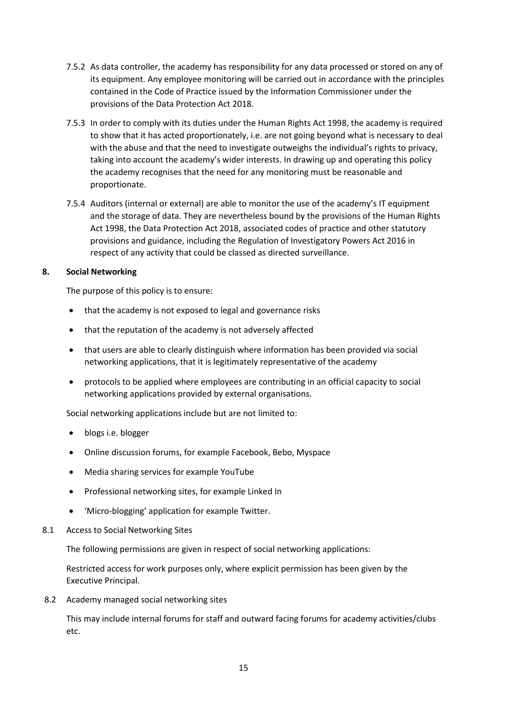- 7.5.2 As data controller, the academy has responsibility for any data processed or stored on any of its equipment. Any employee monitoring will be carried out in accordance with the principles contained in the Code of Practice issued by the Information Commissioner under the provisions of the Data Protection Act 2018.
- 7.5.3 In order to comply with its duties under the Human Rights Act 1998, the academy is required to show that it has acted proportionately, i.e. are not going beyond what is necessary to deal with the abuse and that the need to investigate outweighs the individual's rights to privacy, taking into account the academy's wider interests. In drawing up and operating this policy the academy recognises that the need for any monitoring must be reasonable and proportionate.
- 7.5.4 Auditors (internal or external) are able to monitor the use of the academy's IT equipment and the storage of data. They are nevertheless bound by the provisions of the Human Rights Act 1998, the Data Protection Act 2018, associated codes of practice and other statutory provisions and guidance, including the Regulation of Investigatory Powers Act 2016 in respect of any activity that could be classed as directed surveillance.

### **8. Social Networking**

The purpose of this policy is to ensure:

- that the academy is not exposed to legal and governance risks
- that the reputation of the academy is not adversely affected
- that users are able to clearly distinguish where information has been provided via social networking applications, that it is legitimately representative of the academy
- protocols to be applied where employees are contributing in an official capacity to social networking applications provided by external organisations.

Social networking applications include but are not limited to:

- blogs i.e. blogger
- Online discussion forums, for example Facebook, Bebo, Myspace
- Media sharing services for example YouTube
- Professional networking sites, for example Linked In
- 'Micro-blogging' application for example Twitter.
- 8.1 Access to Social Networking Sites

The following permissions are given in respect of social networking applications:

Restricted access for work purposes only, where explicit permission has been given by the Executive Principal.

8.2 Academy managed social networking sites

This may include internal forums for staff and outward facing forums for academy activities/clubs etc.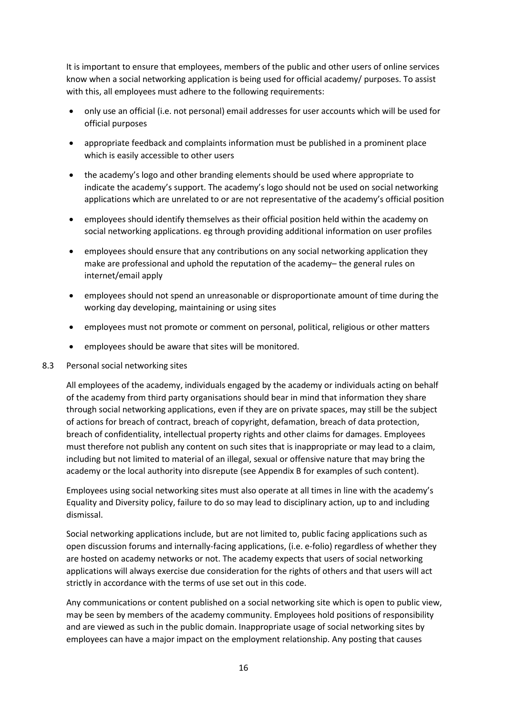It is important to ensure that employees, members of the public and other users of online services know when a social networking application is being used for official academy/ purposes. To assist with this, all employees must adhere to the following requirements:

- only use an official (i.e. not personal) email addresses for user accounts which will be used for official purposes
- appropriate feedback and complaints information must be published in a prominent place which is easily accessible to other users
- the academy's logo and other branding elements should be used where appropriate to indicate the academy's support. The academy's logo should not be used on social networking applications which are unrelated to or are not representative of the academy's official position
- employees should identify themselves as their official position held within the academy on social networking applications. eg through providing additional information on user profiles
- employees should ensure that any contributions on any social networking application they make are professional and uphold the reputation of the academy– the general rules on internet/email apply
- employees should not spend an unreasonable or disproportionate amount of time during the working day developing, maintaining or using sites
- employees must not promote or comment on personal, political, religious or other matters
- employees should be aware that sites will be monitored.
- 8.3 Personal social networking sites

All employees of the academy, individuals engaged by the academy or individuals acting on behalf of the academy from third party organisations should bear in mind that information they share through social networking applications, even if they are on private spaces, may still be the subject of actions for breach of contract, breach of copyright, defamation, breach of data protection, breach of confidentiality, intellectual property rights and other claims for damages. Employees must therefore not publish any content on such sites that is inappropriate or may lead to a claim, including but not limited to material of an illegal, sexual or offensive nature that may bring the academy or the local authority into disrepute (see Appendix B for examples of such content).

Employees using social networking sites must also operate at all times in line with the academy's Equality and Diversity policy, failure to do so may lead to disciplinary action, up to and including dismissal.

Social networking applications include, but are not limited to, public facing applications such as open discussion forums and internally-facing applications, (i.e. e-folio) regardless of whether they are hosted on academy networks or not. The academy expects that users of social networking applications will always exercise due consideration for the rights of others and that users will act strictly in accordance with the terms of use set out in this code.

Any communications or content published on a social networking site which is open to public view, may be seen by members of the academy community. Employees hold positions of responsibility and are viewed as such in the public domain. Inappropriate usage of social networking sites by employees can have a major impact on the employment relationship. Any posting that causes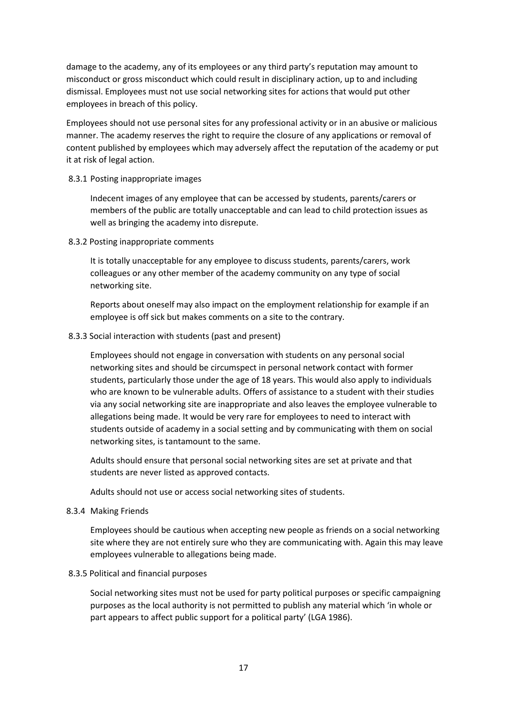damage to the academy, any of its employees or any third party's reputation may amount to misconduct or gross misconduct which could result in disciplinary action, up to and including dismissal. Employees must not use social networking sites for actions that would put other employees in breach of this policy.

Employees should not use personal sites for any professional activity or in an abusive or malicious manner. The academy reserves the right to require the closure of any applications or removal of content published by employees which may adversely affect the reputation of the academy or put it at risk of legal action.

#### 8.3.1 Posting inappropriate images

Indecent images of any employee that can be accessed by students, parents/carers or members of the public are totally unacceptable and can lead to child protection issues as well as bringing the academy into disrepute.

#### 8.3.2 Posting inappropriate comments

It is totally unacceptable for any employee to discuss students, parents/carers, work colleagues or any other member of the academy community on any type of social networking site.

Reports about oneself may also impact on the employment relationship for example if an employee is off sick but makes comments on a site to the contrary.

### 8.3.3 Social interaction with students (past and present)

Employees should not engage in conversation with students on any personal social networking sites and should be circumspect in personal network contact with former students, particularly those under the age of 18 years. This would also apply to individuals who are known to be vulnerable adults. Offers of assistance to a student with their studies via any social networking site are inappropriate and also leaves the employee vulnerable to allegations being made. It would be very rare for employees to need to interact with students outside of academy in a social setting and by communicating with them on social networking sites, is tantamount to the same.

Adults should ensure that personal social networking sites are set at private and that students are never listed as approved contacts.

Adults should not use or access social networking sites of students.

### 8.3.4 Making Friends

Employees should be cautious when accepting new people as friends on a social networking site where they are not entirely sure who they are communicating with. Again this may leave employees vulnerable to allegations being made.

### 8.3.5 Political and financial purposes

Social networking sites must not be used for party political purposes or specific campaigning purposes as the local authority is not permitted to publish any material which 'in whole or part appears to affect public support for a political party' (LGA 1986).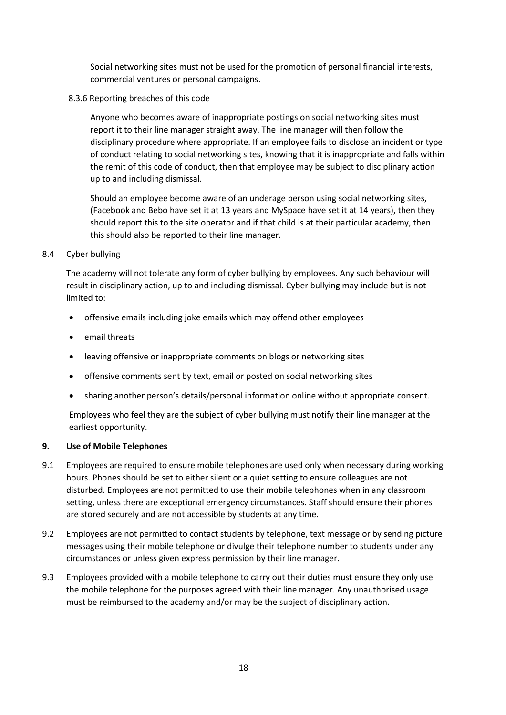Social networking sites must not be used for the promotion of personal financial interests, commercial ventures or personal campaigns.

8.3.6 Reporting breaches of this code

Anyone who becomes aware of inappropriate postings on social networking sites must report it to their line manager straight away. The line manager will then follow the disciplinary procedure where appropriate. If an employee fails to disclose an incident or type of conduct relating to social networking sites, knowing that it is inappropriate and falls within the remit of this code of conduct, then that employee may be subject to disciplinary action up to and including dismissal.

Should an employee become aware of an underage person using social networking sites, (Facebook and Bebo have set it at 13 years and MySpace have set it at 14 years), then they should report this to the site operator and if that child is at their particular academy, then this should also be reported to their line manager.

### 8.4 Cyber bullying

The academy will not tolerate any form of cyber bullying by employees. Any such behaviour will result in disciplinary action, up to and including dismissal. Cyber bullying may include but is not limited to:

- offensive emails including joke emails which may offend other employees
- email threats
- leaving offensive or inappropriate comments on blogs or networking sites
- offensive comments sent by text, email or posted on social networking sites
- sharing another person's details/personal information online without appropriate consent.

Employees who feel they are the subject of cyber bullying must notify their line manager at the earliest opportunity.

# **9. Use of Mobile Telephones**

- 9.1 Employees are required to ensure mobile telephones are used only when necessary during working hours. Phones should be set to either silent or a quiet setting to ensure colleagues are not disturbed. Employees are not permitted to use their mobile telephones when in any classroom setting, unless there are exceptional emergency circumstances. Staff should ensure their phones are stored securely and are not accessible by students at any time.
- 9.2 Employees are not permitted to contact students by telephone, text message or by sending picture messages using their mobile telephone or divulge their telephone number to students under any circumstances or unless given express permission by their line manager.
- 9.3 Employees provided with a mobile telephone to carry out their duties must ensure they only use the mobile telephone for the purposes agreed with their line manager. Any unauthorised usage must be reimbursed to the academy and/or may be the subject of disciplinary action.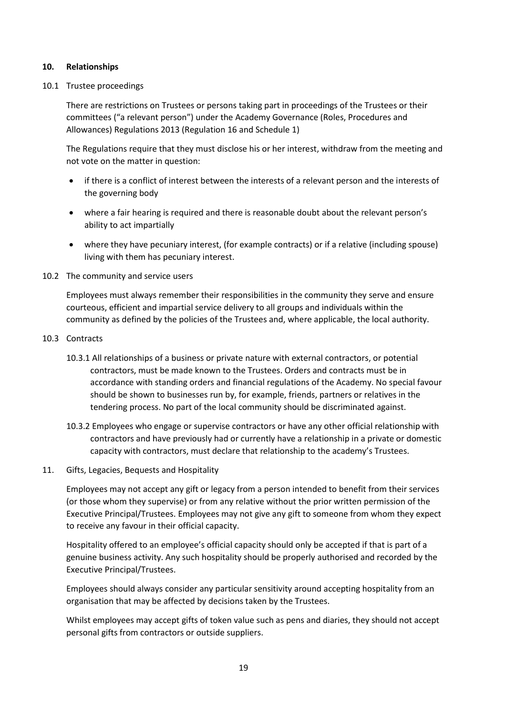#### **10. Relationships**

#### 10.1 Trustee proceedings

There are restrictions on Trustees or persons taking part in proceedings of the Trustees or their committees ("a relevant person") under the Academy Governance (Roles, Procedures and Allowances) Regulations 2013 (Regulation 16 and Schedule 1)

The Regulations require that they must disclose his or her interest, withdraw from the meeting and not vote on the matter in question:

- if there is a conflict of interest between the interests of a relevant person and the interests of the governing body
- where a fair hearing is required and there is reasonable doubt about the relevant person's ability to act impartially
- where they have pecuniary interest, (for example contracts) or if a relative (including spouse) living with them has pecuniary interest.
- 10.2 The community and service users

Employees must always remember their responsibilities in the community they serve and ensure courteous, efficient and impartial service delivery to all groups and individuals within the community as defined by the policies of the Trustees and, where applicable, the local authority.

- 10.3 Contracts
	- 10.3.1 All relationships of a business or private nature with external contractors, or potential contractors, must be made known to the Trustees. Orders and contracts must be in accordance with standing orders and financial regulations of the Academy. No special favour should be shown to businesses run by, for example, friends, partners or relatives in the tendering process. No part of the local community should be discriminated against.
	- 10.3.2 Employees who engage or supervise contractors or have any other official relationship with contractors and have previously had or currently have a relationship in a private or domestic capacity with contractors, must declare that relationship to the academy's Trustees.
- 11. Gifts, Legacies, Bequests and Hospitality

Employees may not accept any gift or legacy from a person intended to benefit from their services (or those whom they supervise) or from any relative without the prior written permission of the Executive Principal/Trustees. Employees may not give any gift to someone from whom they expect to receive any favour in their official capacity.

Hospitality offered to an employee's official capacity should only be accepted if that is part of a genuine business activity. Any such hospitality should be properly authorised and recorded by the Executive Principal/Trustees.

Employees should always consider any particular sensitivity around accepting hospitality from an organisation that may be affected by decisions taken by the Trustees.

Whilst employees may accept gifts of token value such as pens and diaries, they should not accept personal gifts from contractors or outside suppliers.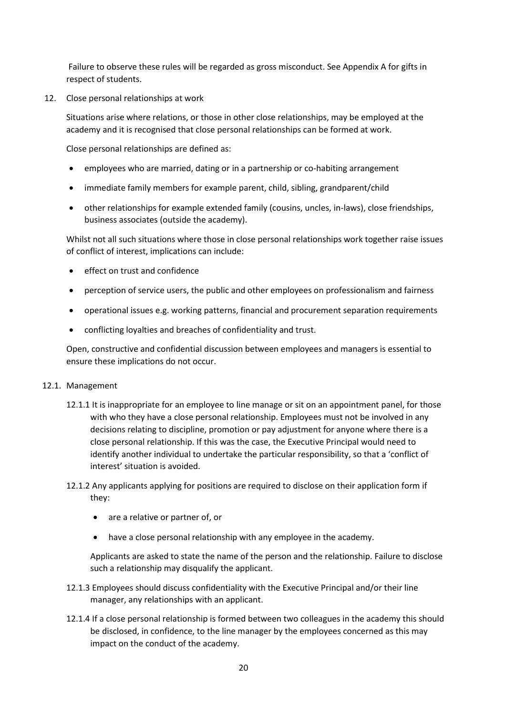Failure to observe these rules will be regarded as gross misconduct. See Appendix A for gifts in respect of students.

12. Close personal relationships at work

Situations arise where relations, or those in other close relationships, may be employed at the academy and it is recognised that close personal relationships can be formed at work.

Close personal relationships are defined as:

- employees who are married, dating or in a partnership or co-habiting arrangement
- immediate family members for example parent, child, sibling, grandparent/child
- other relationships for example extended family (cousins, uncles, in-laws), close friendships, business associates (outside the academy).

Whilst not all such situations where those in close personal relationships work together raise issues of conflict of interest, implications can include:

- effect on trust and confidence
- perception of service users, the public and other employees on professionalism and fairness
- operational issues e.g. working patterns, financial and procurement separation requirements
- conflicting loyalties and breaches of confidentiality and trust.

Open, constructive and confidential discussion between employees and managers is essential to ensure these implications do not occur.

### 12.1. Management

- 12.1.1 It is inappropriate for an employee to line manage or sit on an appointment panel, for those with who they have a close personal relationship. Employees must not be involved in any decisions relating to discipline, promotion or pay adjustment for anyone where there is a close personal relationship. If this was the case, the Executive Principal would need to identify another individual to undertake the particular responsibility, so that a 'conflict of interest' situation is avoided.
- 12.1.2 Any applicants applying for positions are required to disclose on their application form if they:
	- are a relative or partner of, or
	- have a close personal relationship with any employee in the academy.

Applicants are asked to state the name of the person and the relationship. Failure to disclose such a relationship may disqualify the applicant.

- 12.1.3 Employees should discuss confidentiality with the Executive Principal and/or their line manager, any relationships with an applicant.
- 12.1.4 If a close personal relationship is formed between two colleagues in the academy this should be disclosed, in confidence, to the line manager by the employees concerned as this may impact on the conduct of the academy.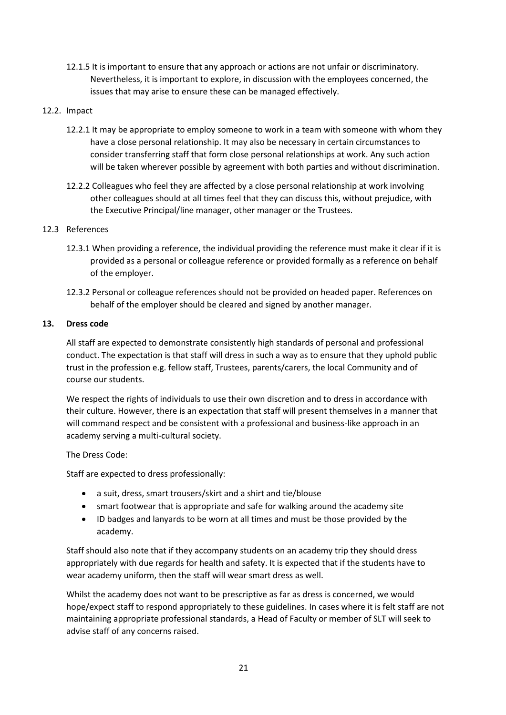12.1.5 It is important to ensure that any approach or actions are not unfair or discriminatory. Nevertheless, it is important to explore, in discussion with the employees concerned, the issues that may arise to ensure these can be managed effectively.

### 12.2. Impact

- 12.2.1 It may be appropriate to employ someone to work in a team with someone with whom they have a close personal relationship. It may also be necessary in certain circumstances to consider transferring staff that form close personal relationships at work. Any such action will be taken wherever possible by agreement with both parties and without discrimination.
- 12.2.2 Colleagues who feel they are affected by a close personal relationship at work involving other colleagues should at all times feel that they can discuss this, without prejudice, with the Executive Principal/line manager, other manager or the Trustees.

### 12.3 References

- 12.3.1 When providing a reference, the individual providing the reference must make it clear if it is provided as a personal or colleague reference or provided formally as a reference on behalf of the employer.
- 12.3.2 Personal or colleague references should not be provided on headed paper. References on behalf of the employer should be cleared and signed by another manager.

### **13. Dress code**

All staff are expected to demonstrate consistently high standards of personal and professional conduct. The expectation is that staff will dress in such a way as to ensure that they uphold public trust in the profession e.g. fellow staff, Trustees, parents/carers, the local Community and of course our students.

We respect the rights of individuals to use their own discretion and to dress in accordance with their culture. However, there is an expectation that staff will present themselves in a manner that will command respect and be consistent with a professional and business-like approach in an academy serving a multi-cultural society.

# The Dress Code:

Staff are expected to dress professionally:

- a suit, dress, smart trousers/skirt and a shirt and tie/blouse
- smart footwear that is appropriate and safe for walking around the academy site
- ID badges and lanyards to be worn at all times and must be those provided by the academy.

Staff should also note that if they accompany students on an academy trip they should dress appropriately with due regards for health and safety. It is expected that if the students have to wear academy uniform, then the staff will wear smart dress as well.

Whilst the academy does not want to be prescriptive as far as dress is concerned, we would hope/expect staff to respond appropriately to these guidelines. In cases where it is felt staff are not maintaining appropriate professional standards, a Head of Faculty or member of SLT will seek to advise staff of any concerns raised.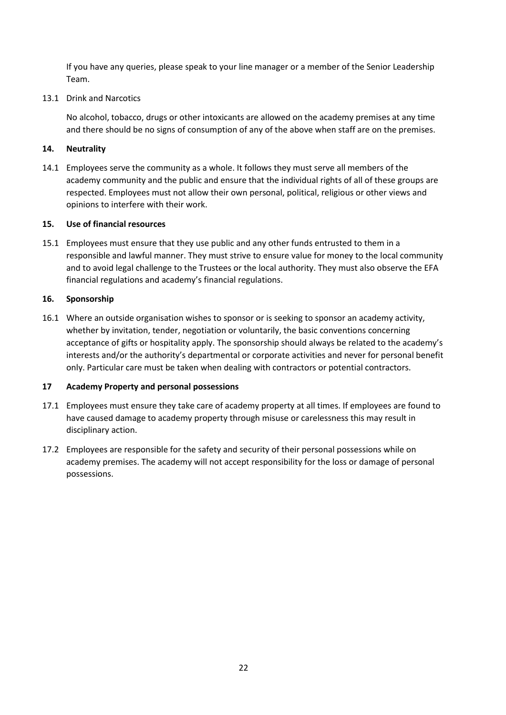If you have any queries, please speak to your line manager or a member of the Senior Leadership Team.

### 13.1 Drink and Narcotics

No alcohol, tobacco, drugs or other intoxicants are allowed on the academy premises at any time and there should be no signs of consumption of any of the above when staff are on the premises.

### **14. Neutrality**

14.1 Employees serve the community as a whole. It follows they must serve all members of the academy community and the public and ensure that the individual rights of all of these groups are respected. Employees must not allow their own personal, political, religious or other views and opinions to interfere with their work.

### **15. Use of financial resources**

15.1 Employees must ensure that they use public and any other funds entrusted to them in a responsible and lawful manner. They must strive to ensure value for money to the local community and to avoid legal challenge to the Trustees or the local authority. They must also observe the EFA financial regulations and academy's financial regulations.

### **16. Sponsorship**

16.1 Where an outside organisation wishes to sponsor or is seeking to sponsor an academy activity, whether by invitation, tender, negotiation or voluntarily, the basic conventions concerning acceptance of gifts or hospitality apply. The sponsorship should always be related to the academy's interests and/or the authority's departmental or corporate activities and never for personal benefit only. Particular care must be taken when dealing with contractors or potential contractors.

# **17 Academy Property and personal possessions**

- 17.1 Employees must ensure they take care of academy property at all times. If employees are found to have caused damage to academy property through misuse or carelessness this may result in disciplinary action.
- 17.2 Employees are responsible for the safety and security of their personal possessions while on academy premises. The academy will not accept responsibility for the loss or damage of personal possessions.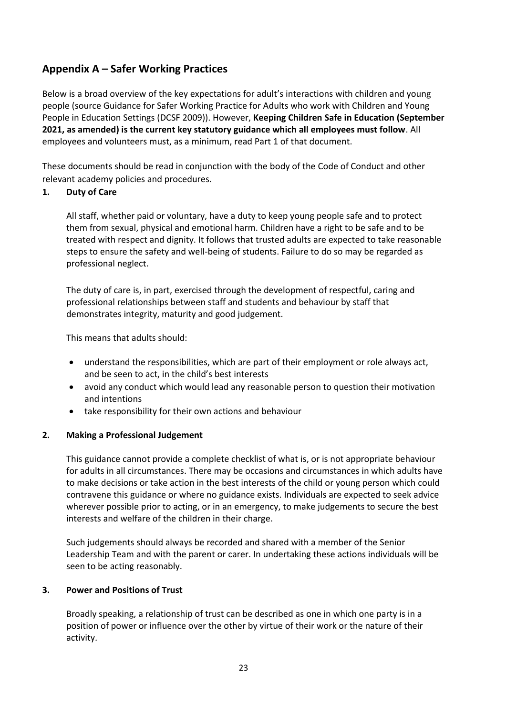# **Appendix A – Safer Working Practices**

Below is a broad overview of the key expectations for adult's interactions with children and young people (source Guidance for Safer Working Practice for Adults who work with Children and Young People in Education Settings (DCSF 2009)). However, **Keeping Children Safe in Education (September 2021, as amended) is the current key statutory guidance which all employees must follow**. All employees and volunteers must, as a minimum, read Part 1 of that document.

These documents should be read in conjunction with the body of the Code of Conduct and other relevant academy policies and procedures.

# **1. Duty of Care**

All staff, whether paid or voluntary, have a duty to keep young people safe and to protect them from sexual, physical and emotional harm. Children have a right to be safe and to be treated with respect and dignity. It follows that trusted adults are expected to take reasonable steps to ensure the safety and well-being of students. Failure to do so may be regarded as professional neglect.

The duty of care is, in part, exercised through the development of respectful, caring and professional relationships between staff and students and behaviour by staff that demonstrates integrity, maturity and good judgement.

This means that adults should:

- understand the responsibilities, which are part of their employment or role always act, and be seen to act, in the child's best interests
- avoid any conduct which would lead any reasonable person to question their motivation and intentions
- take responsibility for their own actions and behaviour

# **2. Making a Professional Judgement**

This guidance cannot provide a complete checklist of what is, or is not appropriate behaviour for adults in all circumstances. There may be occasions and circumstances in which adults have to make decisions or take action in the best interests of the child or young person which could contravene this guidance or where no guidance exists. Individuals are expected to seek advice wherever possible prior to acting, or in an emergency, to make judgements to secure the best interests and welfare of the children in their charge.

Such judgements should always be recorded and shared with a member of the Senior Leadership Team and with the parent or carer. In undertaking these actions individuals will be seen to be acting reasonably.

# **3. Power and Positions of Trust**

Broadly speaking, a relationship of trust can be described as one in which one party is in a position of power or influence over the other by virtue of their work or the nature of their activity.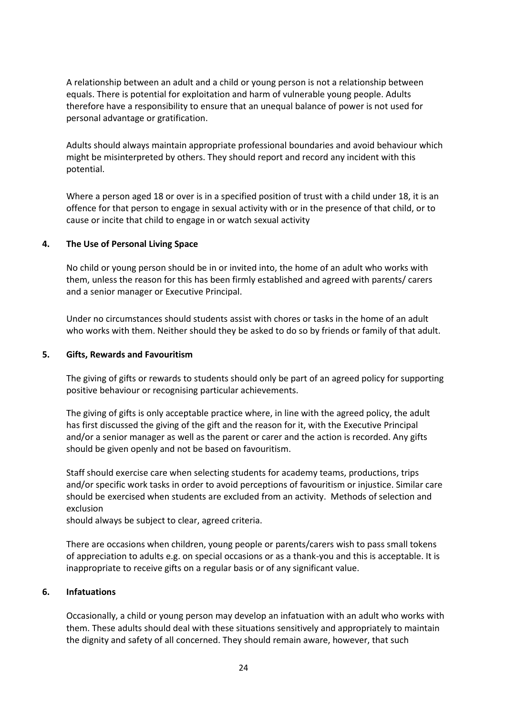A relationship between an adult and a child or young person is not a relationship between equals. There is potential for exploitation and harm of vulnerable young people. Adults therefore have a responsibility to ensure that an unequal balance of power is not used for personal advantage or gratification.

Adults should always maintain appropriate professional boundaries and avoid behaviour which might be misinterpreted by others. They should report and record any incident with this potential.

Where a person aged 18 or over is in a specified position of trust with a child under 18, it is an offence for that person to engage in sexual activity with or in the presence of that child, or to cause or incite that child to engage in or watch sexual activity

# **4. The Use of Personal Living Space**

No child or young person should be in or invited into, the home of an adult who works with them, unless the reason for this has been firmly established and agreed with parents/ carers and a senior manager or Executive Principal.

Under no circumstances should students assist with chores or tasks in the home of an adult who works with them. Neither should they be asked to do so by friends or family of that adult.

# **5. Gifts, Rewards and Favouritism**

The giving of gifts or rewards to students should only be part of an agreed policy for supporting positive behaviour or recognising particular achievements.

The giving of gifts is only acceptable practice where, in line with the agreed policy, the adult has first discussed the giving of the gift and the reason for it, with the Executive Principal and/or a senior manager as well as the parent or carer and the action is recorded. Any gifts should be given openly and not be based on favouritism.

Staff should exercise care when selecting students for academy teams, productions, trips and/or specific work tasks in order to avoid perceptions of favouritism or injustice. Similar care should be exercised when students are excluded from an activity. Methods of selection and exclusion

should always be subject to clear, agreed criteria.

There are occasions when children, young people or parents/carers wish to pass small tokens of appreciation to adults e.g. on special occasions or as a thank-you and this is acceptable. It is inappropriate to receive gifts on a regular basis or of any significant value.

# **6. Infatuations**

Occasionally, a child or young person may develop an infatuation with an adult who works with them. These adults should deal with these situations sensitively and appropriately to maintain the dignity and safety of all concerned. They should remain aware, however, that such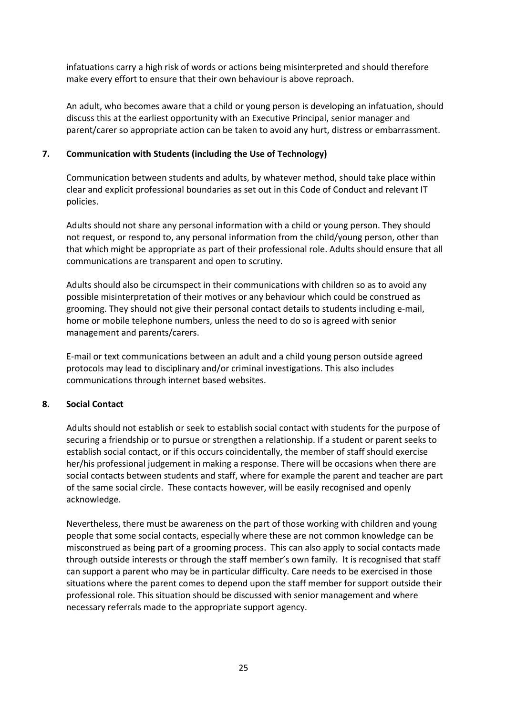infatuations carry a high risk of words or actions being misinterpreted and should therefore make every effort to ensure that their own behaviour is above reproach.

An adult, who becomes aware that a child or young person is developing an infatuation, should discuss this at the earliest opportunity with an Executive Principal, senior manager and parent/carer so appropriate action can be taken to avoid any hurt, distress or embarrassment.

# **7. Communication with Students (including the Use of Technology)**

Communication between students and adults, by whatever method, should take place within clear and explicit professional boundaries as set out in this Code of Conduct and relevant IT policies.

Adults should not share any personal information with a child or young person. They should not request, or respond to, any personal information from the child/young person, other than that which might be appropriate as part of their professional role. Adults should ensure that all communications are transparent and open to scrutiny.

Adults should also be circumspect in their communications with children so as to avoid any possible misinterpretation of their motives or any behaviour which could be construed as grooming. They should not give their personal contact details to students including e-mail, home or mobile telephone numbers, unless the need to do so is agreed with senior management and parents/carers.

E-mail or text communications between an adult and a child young person outside agreed protocols may lead to disciplinary and/or criminal investigations. This also includes communications through internet based websites.

# **8. Social Contact**

Adults should not establish or seek to establish social contact with students for the purpose of securing a friendship or to pursue or strengthen a relationship. If a student or parent seeks to establish social contact, or if this occurs coincidentally, the member of staff should exercise her/his professional judgement in making a response. There will be occasions when there are social contacts between students and staff, where for example the parent and teacher are part of the same social circle. These contacts however, will be easily recognised and openly acknowledge.

Nevertheless, there must be awareness on the part of those working with children and young people that some social contacts, especially where these are not common knowledge can be misconstrued as being part of a grooming process. This can also apply to social contacts made through outside interests or through the staff member's own family. It is recognised that staff can support a parent who may be in particular difficulty. Care needs to be exercised in those situations where the parent comes to depend upon the staff member for support outside their professional role. This situation should be discussed with senior management and where necessary referrals made to the appropriate support agency.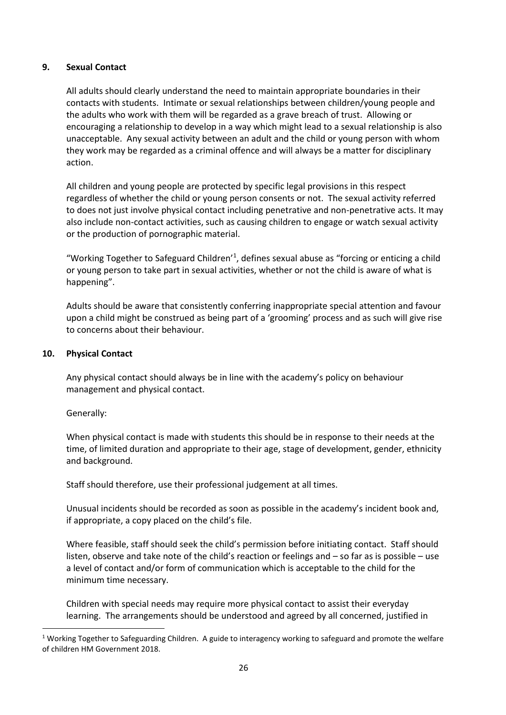# **9. Sexual Contact**

All adults should clearly understand the need to maintain appropriate boundaries in their contacts with students. Intimate or sexual relationships between children/young people and the adults who work with them will be regarded as a grave breach of trust. Allowing or encouraging a relationship to develop in a way which might lead to a sexual relationship is also unacceptable. Any sexual activity between an adult and the child or young person with whom they work may be regarded as a criminal offence and will always be a matter for disciplinary action.

All children and young people are protected by specific legal provisions in this respect regardless of whether the child or young person consents or not. The sexual activity referred to does not just involve physical contact including penetrative and non-penetrative acts. It may also include non-contact activities, such as causing children to engage or watch sexual activity or the production of pornographic material.

"Working Together to Safeguard Children<sup>'1</sup>, defines sexual abuse as "forcing or enticing a child or young person to take part in sexual activities, whether or not the child is aware of what is happening".

Adults should be aware that consistently conferring inappropriate special attention and favour upon a child might be construed as being part of a 'grooming' process and as such will give rise to concerns about their behaviour.

# **10. Physical Contact**

Any physical contact should always be in line with the academy's policy on behaviour management and physical contact.

# Generally:

 $\ddot{\phantom{a}}$ 

When physical contact is made with students this should be in response to their needs at the time, of limited duration and appropriate to their age, stage of development, gender, ethnicity and background.

Staff should therefore, use their professional judgement at all times.

Unusual incidents should be recorded as soon as possible in the academy's incident book and, if appropriate, a copy placed on the child's file.

Where feasible, staff should seek the child's permission before initiating contact. Staff should listen, observe and take note of the child's reaction or feelings and – so far as is possible – use a level of contact and/or form of communication which is acceptable to the child for the minimum time necessary.

Children with special needs may require more physical contact to assist their everyday learning. The arrangements should be understood and agreed by all concerned, justified in

<sup>&</sup>lt;sup>1</sup> Working Together to Safeguarding Children. A guide to interagency working to safeguard and promote the welfare of children HM Government 2018.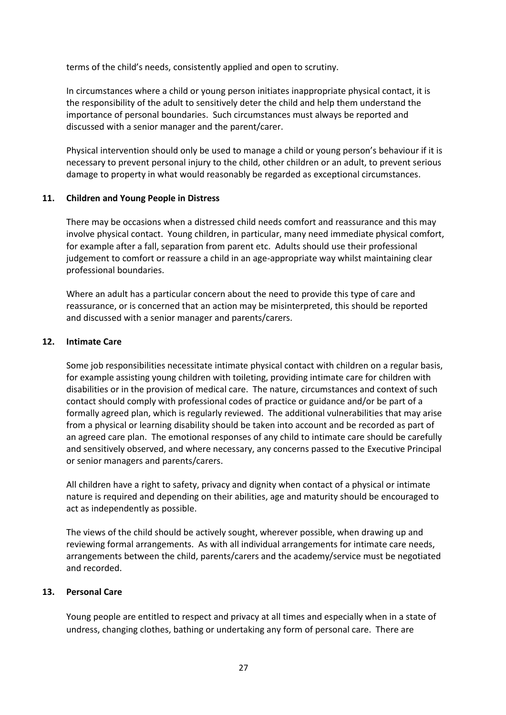terms of the child's needs, consistently applied and open to scrutiny.

In circumstances where a child or young person initiates inappropriate physical contact, it is the responsibility of the adult to sensitively deter the child and help them understand the importance of personal boundaries. Such circumstances must always be reported and discussed with a senior manager and the parent/carer.

Physical intervention should only be used to manage a child or young person's behaviour if it is necessary to prevent personal injury to the child, other children or an adult, to prevent serious damage to property in what would reasonably be regarded as exceptional circumstances.

### **11. Children and Young People in Distress**

There may be occasions when a distressed child needs comfort and reassurance and this may involve physical contact. Young children, in particular, many need immediate physical comfort, for example after a fall, separation from parent etc. Adults should use their professional judgement to comfort or reassure a child in an age-appropriate way whilst maintaining clear professional boundaries.

Where an adult has a particular concern about the need to provide this type of care and reassurance, or is concerned that an action may be misinterpreted, this should be reported and discussed with a senior manager and parents/carers.

### **12. Intimate Care**

Some job responsibilities necessitate intimate physical contact with children on a regular basis, for example assisting young children with toileting, providing intimate care for children with disabilities or in the provision of medical care. The nature, circumstances and context of such contact should comply with professional codes of practice or guidance and/or be part of a formally agreed plan, which is regularly reviewed. The additional vulnerabilities that may arise from a physical or learning disability should be taken into account and be recorded as part of an agreed care plan. The emotional responses of any child to intimate care should be carefully and sensitively observed, and where necessary, any concerns passed to the Executive Principal or senior managers and parents/carers.

All children have a right to safety, privacy and dignity when contact of a physical or intimate nature is required and depending on their abilities, age and maturity should be encouraged to act as independently as possible.

The views of the child should be actively sought, wherever possible, when drawing up and reviewing formal arrangements. As with all individual arrangements for intimate care needs, arrangements between the child, parents/carers and the academy/service must be negotiated and recorded.

# **13. Personal Care**

Young people are entitled to respect and privacy at all times and especially when in a state of undress, changing clothes, bathing or undertaking any form of personal care. There are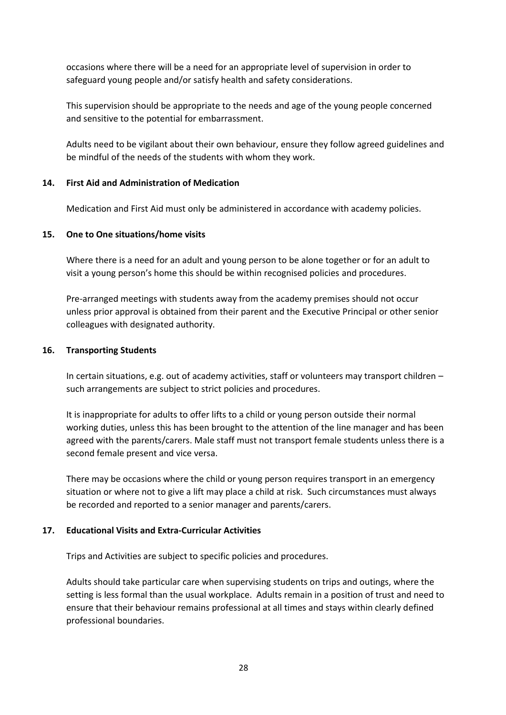occasions where there will be a need for an appropriate level of supervision in order to safeguard young people and/or satisfy health and safety considerations.

This supervision should be appropriate to the needs and age of the young people concerned and sensitive to the potential for embarrassment.

Adults need to be vigilant about their own behaviour, ensure they follow agreed guidelines and be mindful of the needs of the students with whom they work.

# **14. First Aid and Administration of Medication**

Medication and First Aid must only be administered in accordance with academy policies.

# **15. One to One situations/home visits**

Where there is a need for an adult and young person to be alone together or for an adult to visit a young person's home this should be within recognised policies and procedures.

Pre-arranged meetings with students away from the academy premises should not occur unless prior approval is obtained from their parent and the Executive Principal or other senior colleagues with designated authority.

### **16. Transporting Students**

In certain situations, e.g. out of academy activities, staff or volunteers may transport children – such arrangements are subject to strict policies and procedures.

It is inappropriate for adults to offer lifts to a child or young person outside their normal working duties, unless this has been brought to the attention of the line manager and has been agreed with the parents/carers. Male staff must not transport female students unless there is a second female present and vice versa.

There may be occasions where the child or young person requires transport in an emergency situation or where not to give a lift may place a child at risk. Such circumstances must always be recorded and reported to a senior manager and parents/carers.

# **17. Educational Visits and Extra-Curricular Activities**

Trips and Activities are subject to specific policies and procedures.

Adults should take particular care when supervising students on trips and outings, where the setting is less formal than the usual workplace. Adults remain in a position of trust and need to ensure that their behaviour remains professional at all times and stays within clearly defined professional boundaries.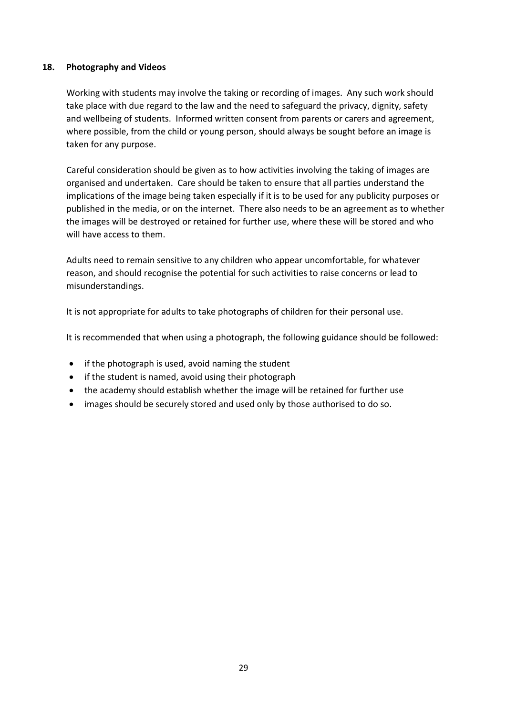# **18. Photography and Videos**

Working with students may involve the taking or recording of images. Any such work should take place with due regard to the law and the need to safeguard the privacy, dignity, safety and wellbeing of students. Informed written consent from parents or carers and agreement, where possible, from the child or young person, should always be sought before an image is taken for any purpose.

Careful consideration should be given as to how activities involving the taking of images are organised and undertaken. Care should be taken to ensure that all parties understand the implications of the image being taken especially if it is to be used for any publicity purposes or published in the media, or on the internet. There also needs to be an agreement as to whether the images will be destroyed or retained for further use, where these will be stored and who will have access to them.

Adults need to remain sensitive to any children who appear uncomfortable, for whatever reason, and should recognise the potential for such activities to raise concerns or lead to misunderstandings.

It is not appropriate for adults to take photographs of children for their personal use.

It is recommended that when using a photograph, the following guidance should be followed:

- if the photograph is used, avoid naming the student
- if the student is named, avoid using their photograph
- the academy should establish whether the image will be retained for further use
- images should be securely stored and used only by those authorised to do so.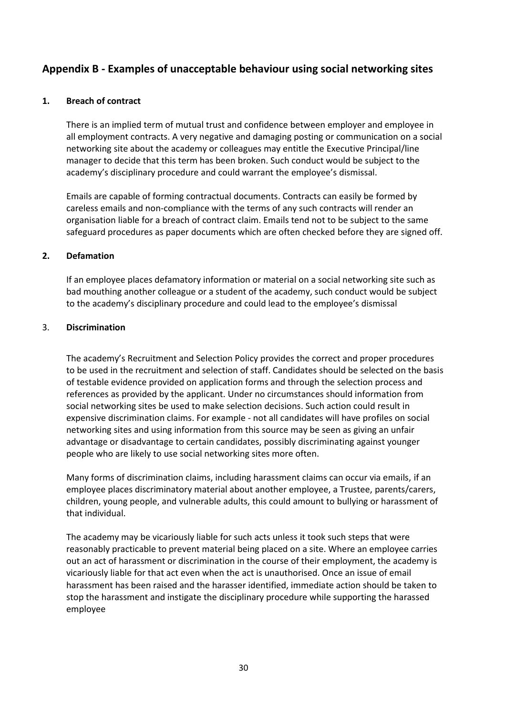# **Appendix B - Examples of unacceptable behaviour using social networking sites**

### **1. Breach of contract**

There is an implied term of mutual trust and confidence between employer and employee in all employment contracts. A very negative and damaging posting or communication on a social networking site about the academy or colleagues may entitle the Executive Principal/line manager to decide that this term has been broken. Such conduct would be subject to the academy's disciplinary procedure and could warrant the employee's dismissal.

Emails are capable of forming contractual documents. Contracts can easily be formed by careless emails and non-compliance with the terms of any such contracts will render an organisation liable for a breach of contract claim. Emails tend not to be subject to the same safeguard procedures as paper documents which are often checked before they are signed off.

### **2. Defamation**

If an employee places defamatory information or material on a social networking site such as bad mouthing another colleague or a student of the academy, such conduct would be subject to the academy's disciplinary procedure and could lead to the employee's dismissal

### 3. **Discrimination**

The academy's Recruitment and Selection Policy provides the correct and proper procedures to be used in the recruitment and selection of staff. Candidates should be selected on the basis of testable evidence provided on application forms and through the selection process and references as provided by the applicant. Under no circumstances should information from social networking sites be used to make selection decisions. Such action could result in expensive discrimination claims. For example - not all candidates will have profiles on social networking sites and using information from this source may be seen as giving an unfair advantage or disadvantage to certain candidates, possibly discriminating against younger people who are likely to use social networking sites more often.

Many forms of discrimination claims, including harassment claims can occur via emails, if an employee places discriminatory material about another employee, a Trustee, parents/carers, children, young people, and vulnerable adults, this could amount to bullying or harassment of that individual.

The academy may be vicariously liable for such acts unless it took such steps that were reasonably practicable to prevent material being placed on a site. Where an employee carries out an act of harassment or discrimination in the course of their employment, the academy is vicariously liable for that act even when the act is unauthorised. Once an issue of email harassment has been raised and the harasser identified, immediate action should be taken to stop the harassment and instigate the disciplinary procedure while supporting the harassed employee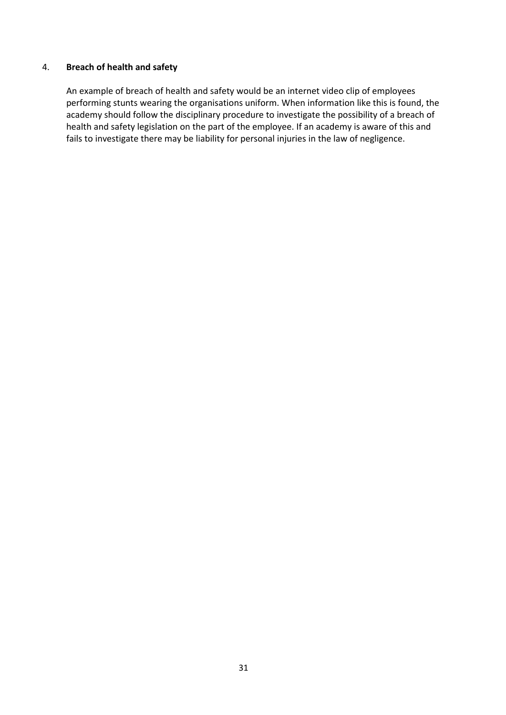### 4. **Breach of health and safety**

An example of breach of health and safety would be an internet video clip of employees performing stunts wearing the organisations uniform. When information like this is found, the academy should follow the disciplinary procedure to investigate the possibility of a breach of health and safety legislation on the part of the employee. If an academy is aware of this and fails to investigate there may be liability for personal injuries in the law of negligence.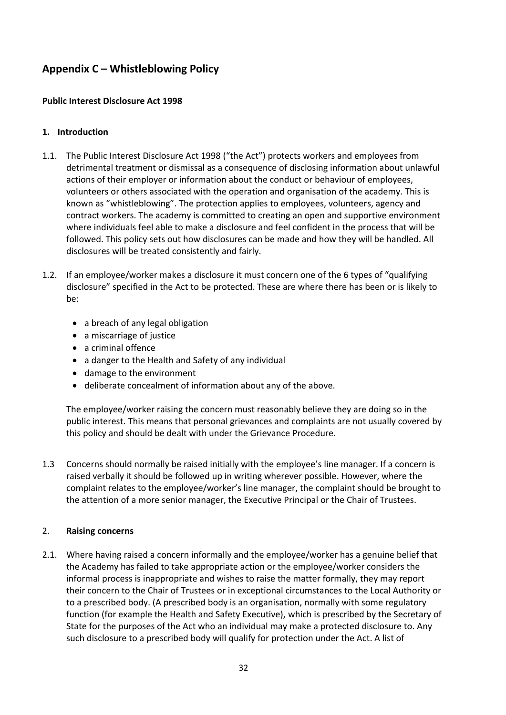# **Appendix C – Whistleblowing Policy**

# **Public Interest Disclosure Act 1998**

# **1. Introduction**

- 1.1. The Public Interest Disclosure Act 1998 ("the Act") protects workers and employees from detrimental treatment or dismissal as a consequence of disclosing information about unlawful actions of their employer or information about the conduct or behaviour of employees, volunteers or others associated with the operation and organisation of the academy. This is known as "whistleblowing". The protection applies to employees, volunteers, agency and contract workers. The academy is committed to creating an open and supportive environment where individuals feel able to make a disclosure and feel confident in the process that will be followed. This policy sets out how disclosures can be made and how they will be handled. All disclosures will be treated consistently and fairly.
- 1.2. If an employee/worker makes a disclosure it must concern one of the 6 types of "qualifying disclosure" specified in the Act to be protected. These are where there has been or is likely to be:
	- a breach of any legal obligation
	- a miscarriage of justice
	- a criminal offence
	- a danger to the Health and Safety of any individual
	- damage to the environment
	- deliberate concealment of information about any of the above.

The employee/worker raising the concern must reasonably believe they are doing so in the public interest. This means that personal grievances and complaints are not usually covered by this policy and should be dealt with under the Grievance Procedure.

1.3 Concerns should normally be raised initially with the employee's line manager. If a concern is raised verbally it should be followed up in writing wherever possible. However, where the complaint relates to the employee/worker's line manager, the complaint should be brought to the attention of a more senior manager, the Executive Principal or the Chair of Trustees.

# 2. **Raising concerns**

2.1. Where having raised a concern informally and the employee/worker has a genuine belief that the Academy has failed to take appropriate action or the employee/worker considers the informal process is inappropriate and wishes to raise the matter formally, they may report their concern to the Chair of Trustees or in exceptional circumstances to the Local Authority or to a prescribed body. (A prescribed body is an organisation, normally with some regulatory function (for example the Health and Safety Executive), which is prescribed by the Secretary of State for the purposes of the Act who an individual may make a protected disclosure to. Any such disclosure to a prescribed body will qualify for protection under the Act. A list of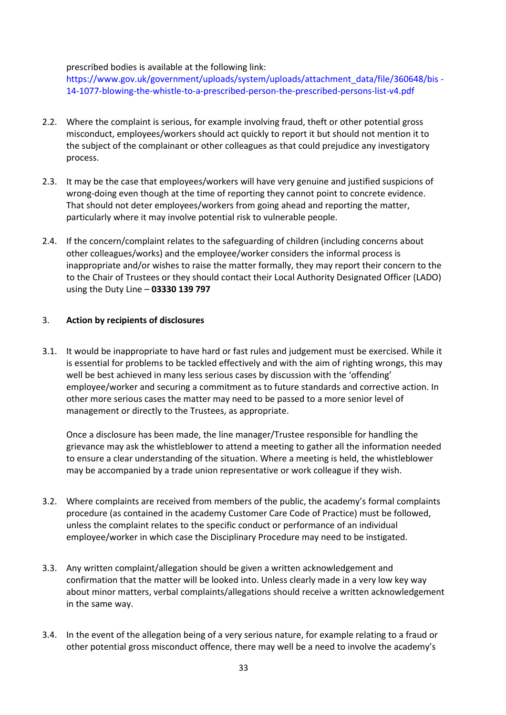### prescribed bodies is available at the following link:

[https://www.gov.uk/government/uploads/system/uploads/attachment\\_data/file/360648/bis](https://www.gov.uk/government/uploads/system/uploads/attachment_data/file/360648/bis-14-1077-blowing-the-whistle-to-a-prescribed-person-the-prescribed-persons-list-v4.pdf) [-](https://www.gov.uk/government/uploads/system/uploads/attachment_data/file/360648/bis-14-1077-blowing-the-whistle-to-a-prescribed-person-the-prescribed-persons-list-v4.pdf) [14-1077-blowing-the-whistle-to-a-prescribed-person-the-prescribed-persons-list-v4.pdf](https://www.gov.uk/government/uploads/system/uploads/attachment_data/file/360648/bis-14-1077-blowing-the-whistle-to-a-prescribed-person-the-prescribed-persons-list-v4.pdf)

- 2.2. Where the complaint is serious, for example involving fraud, theft or other potential gross misconduct, employees/workers should act quickly to report it but should not mention it to the subject of the complainant or other colleagues as that could prejudice any investigatory process.
- 2.3. It may be the case that employees/workers will have very genuine and justified suspicions of wrong-doing even though at the time of reporting they cannot point to concrete evidence. That should not deter employees/workers from going ahead and reporting the matter, particularly where it may involve potential risk to vulnerable people.
- 2.4. If the concern/complaint relates to the safeguarding of children (including concerns about other colleagues/works) and the employee/worker considers the informal process is inappropriate and/or wishes to raise the matter formally, they may report their concern to the to the Chair of Trustees or they should contact their Local Authority Designated Officer (LADO) using the Duty Line – **03330 139 797**

### 3. **Action by recipients of disclosures**

3.1. It would be inappropriate to have hard or fast rules and judgement must be exercised. While it is essential for problems to be tackled effectively and with the aim of righting wrongs, this may well be best achieved in many less serious cases by discussion with the 'offending' employee/worker and securing a commitment as to future standards and corrective action. In other more serious cases the matter may need to be passed to a more senior level of management or directly to the Trustees, as appropriate.

Once a disclosure has been made, the line manager/Trustee responsible for handling the grievance may ask the whistleblower to attend a meeting to gather all the information needed to ensure a clear understanding of the situation. Where a meeting is held, the whistleblower may be accompanied by a trade union representative or work colleague if they wish.

- 3.2. Where complaints are received from members of the public, the academy's formal complaints procedure (as contained in the academy Customer Care Code of Practice) must be followed, unless the complaint relates to the specific conduct or performance of an individual employee/worker in which case the Disciplinary Procedure may need to be instigated.
- 3.3. Any written complaint/allegation should be given a written acknowledgement and confirmation that the matter will be looked into. Unless clearly made in a very low key way about minor matters, verbal complaints/allegations should receive a written acknowledgement in the same way.
- 3.4. In the event of the allegation being of a very serious nature, for example relating to a fraud or other potential gross misconduct offence, there may well be a need to involve the academy's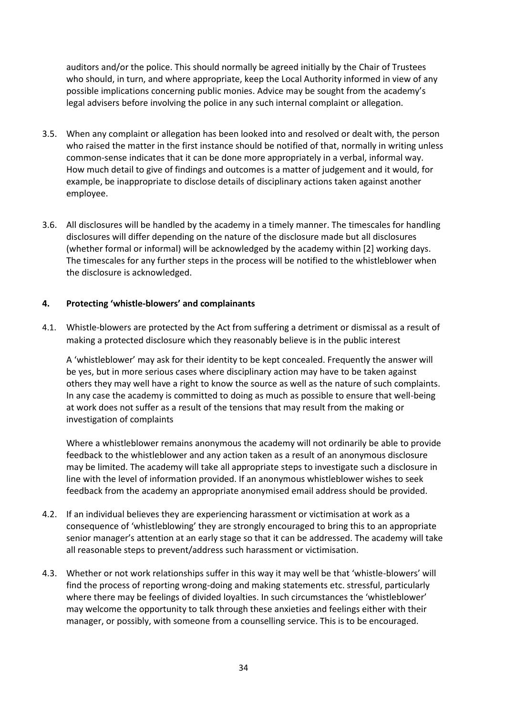auditors and/or the police. This should normally be agreed initially by the Chair of Trustees who should, in turn, and where appropriate, keep the Local Authority informed in view of any possible implications concerning public monies. Advice may be sought from the academy's legal advisers before involving the police in any such internal complaint or allegation.

- 3.5. When any complaint or allegation has been looked into and resolved or dealt with, the person who raised the matter in the first instance should be notified of that, normally in writing unless common-sense indicates that it can be done more appropriately in a verbal, informal way. How much detail to give of findings and outcomes is a matter of judgement and it would, for example, be inappropriate to disclose details of disciplinary actions taken against another employee.
- 3.6. All disclosures will be handled by the academy in a timely manner. The timescales for handling disclosures will differ depending on the nature of the disclosure made but all disclosures (whether formal or informal) will be acknowledged by the academy within [2] working days. The timescales for any further steps in the process will be notified to the whistleblower when the disclosure is acknowledged.

# **4. Protecting 'whistle-blowers' and complainants**

4.1. Whistle-blowers are protected by the Act from suffering a detriment or dismissal as a result of making a protected disclosure which they reasonably believe is in the public interest

A 'whistleblower' may ask for their identity to be kept concealed. Frequently the answer will be yes, but in more serious cases where disciplinary action may have to be taken against others they may well have a right to know the source as well as the nature of such complaints. In any case the academy is committed to doing as much as possible to ensure that well-being at work does not suffer as a result of the tensions that may result from the making or investigation of complaints

Where a whistleblower remains anonymous the academy will not ordinarily be able to provide feedback to the whistleblower and any action taken as a result of an anonymous disclosure may be limited. The academy will take all appropriate steps to investigate such a disclosure in line with the level of information provided. If an anonymous whistleblower wishes to seek feedback from the academy an appropriate anonymised email address should be provided.

- 4.2. If an individual believes they are experiencing harassment or victimisation at work as a consequence of 'whistleblowing' they are strongly encouraged to bring this to an appropriate senior manager's attention at an early stage so that it can be addressed. The academy will take all reasonable steps to prevent/address such harassment or victimisation.
- 4.3. Whether or not work relationships suffer in this way it may well be that 'whistle-blowers' will find the process of reporting wrong-doing and making statements etc. stressful, particularly where there may be feelings of divided loyalties. In such circumstances the 'whistleblower' may welcome the opportunity to talk through these anxieties and feelings either with their manager, or possibly, with someone from a counselling service. This is to be encouraged.